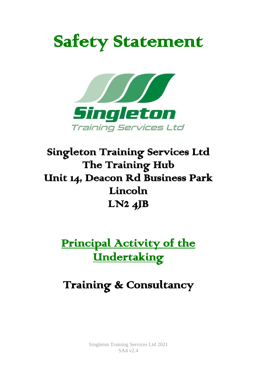# Safety Statement



# Singleton Training Services Ltd The Training Hub Unit 14, Deacon Rd Business Park Lincoln  $LN2$   $4JB$

Principal Activity of the **Undertaking** 

# Training & Consultancy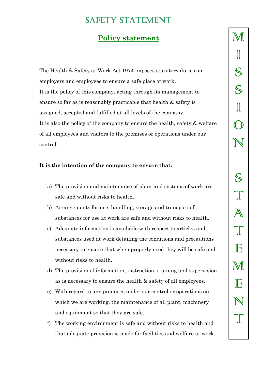### **Policy statement**

The Health & Safety at Work Act 1974 imposes statutory duties on employers and employees to ensure a safe place of work. It is the policy of this company, acting through its management to ensure so far as is reasonably practicable that health & safety is assigned, accepted and fulfilled at all levels of the company. It is also the policy of the company to ensure the health, safety & welfare of all employees and visitors to the premises or operations under our control.

#### **It is the intention of the company to ensure that:**

- a) The provision and maintenance of plant and systems of work are safe and without risks to health.
- b) Arrangements for use, handling, storage and transport of substances for use at work are safe and without risks to health.
- c) Adequate information is available with respect to articles and substances used at work detailing the conditions and precautions necessary to ensure that when properly used they will be safe and without risks to health.
- d) The provision of information, instruction, training and supervision as is necessary to ensure the health & safety of all employees.
- e) With regard to any premises under our control or operations on which we are working, the maintenance of all plant, machinery and equipment so that they are safe.
- f) The working environment is safe and without risks to health and that adequate provision is made for facilities and welfare at work.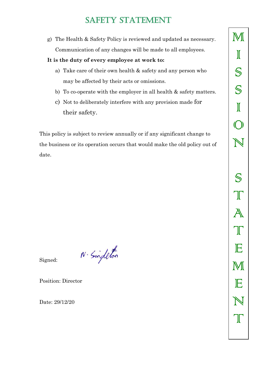g) The Health & Safety Policy is reviewed and updated as necessary. Communication of any changes will be made to all employees.

#### **It is the duty of every employee at work to:**

- a) Take care of their own health & safety and any person who may be affected by their acts or omissions.
- b) To co-operate with the employer in all health & safety matters.
- c) Not to deliberately interfere with any provision made for their safety.

This policy is subject to review annually or if any significant change to the business or its operation occurs that would make the old policy out of date.

 $N \cdot$  Singleton

Signed:

Position: Director

Date: 29/12/20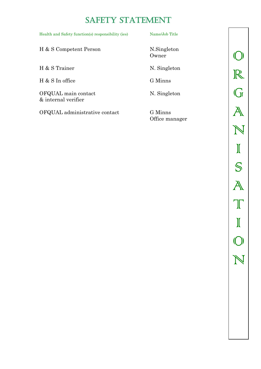| Health and Safety function(s) responsibility (ies) | Name/Job Title       |
|----------------------------------------------------|----------------------|
| H & S Competent Person                             | N.Singleton<br>Owner |
| H & S Trainer                                      | N. Singleton         |
| H & S In office                                    | G Minns              |
| OFQUAL main contact<br>& internal verifier         | N. Singleton         |

OFQUAL administrative contact G Minns

Office manager

 $\bigcirc$ R G A N I S A **T** I O N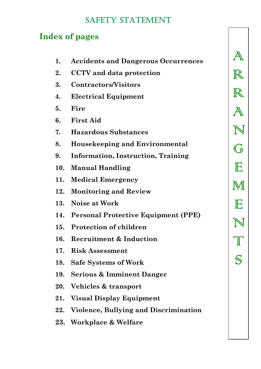# **Index of pages**

| 1.  | <b>Accidents and Dangerous Occurrences</b> |
|-----|--------------------------------------------|
| 2.  | <b>CCTV</b> and data protection            |
| 3.  | Contractors/Visitors                       |
| 4.  | <b>Electrical Equipment</b>                |
| 5.  | Fire                                       |
| 6.  | <b>First Aid</b>                           |
| 7.  | <b>Hazardous Substances</b>                |
| 8.  | <b>Housekeeping and Environmental</b>      |
| 9.  | <b>Information, Instruction, Training</b>  |
| 10. | <b>Manual Handling</b>                     |
| 11. | <b>Medical Emergency</b>                   |
| 12. | <b>Monitoring and Review</b>               |
|     | 13. Noise at Work                          |
|     | 14. Personal Protective Equipment (PPE)    |
|     | 15. Protection of children                 |
| 16. | <b>Recruitment &amp; Induction</b>         |
| 17. | <b>Risk Assessment</b>                     |
|     | 18. Safe Systems of Work                   |
|     | 19. Serious & Imminent Danger              |
|     | 20. Vehicles & transport                   |
|     | 21. Visual Display Equipment               |
|     | 22. Violence, Bullying and Discrimination  |
|     | 23. Workplace & Welfare                    |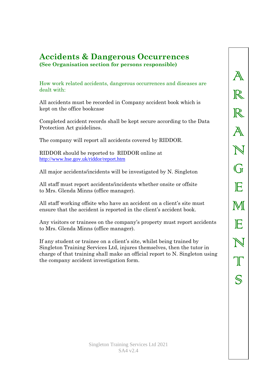### **Accidents & Dangerous Occurrences (See Organisation section for persons responsible)**

How work related accidents, dangerous occurrences and diseases are dealt with:

All accidents must be recorded in Company accident book which is kept on the office bookcase

Completed accident records shall be kept secure according to the Data Protection Act guidelines.

The company will report all accidents covered by RIDDOR.

RIDDOR should be reported to RIDDOR online at <http://www.hse.gov.uk/riddor/report.htm>

All major accidents/incidents will be investigated by N. Singleton

All staff must report accidents/incidents whether onsite or offsite to Mrs. Glenda Minns (office manager).

All staff working offsite who have an accident on a client's site must ensure that the accident is reported in the client's accident book.

Any visitors or trainees on the company's property must report accidents to Mrs. Glenda Minns (office manager).

If any student or trainee on a client's site, whilst being trained by Singleton Training Services Ltd, injures themselves, then the tutor in charge of that training shall make an official report to N. Singleton using the company accident investigation form.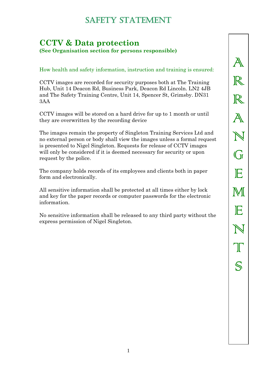### **CCTV & Data protection (See Organisation section for persons responsible)**

How health and safety information, instruction and training is ensured:

CCTV images are recorded for security purposes both at The Training Hub, Unit 14 Deacon Rd, Business Park, Deacon Rd Lincoln. LN2 4JB and The Safety Training Centre, Unit 14, Spencer St, Grimsby. DN31 3AA

CCTV images will be stored on a hard drive for up to 1 month or until they are overwritten by the recording device

The images remain the property of Singleton Training Services Ltd and no external person or body shall view the images unless a formal request is presented to Nigel Singleton. Requests for release of CCTV images will only be considered if it is deemed necessary for security or upon request by the police.

The company holds records of its employees and clients both in paper form and electronically.

All sensitive information shall be protected at all times either by lock and key for the paper records or computer passwords for the electronic information.

No sensitive information shall be released to any third party without the express permission of Nigel Singleton.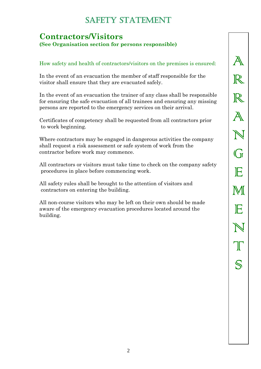### **Contractors/Visitors (See Organisation section for persons responsible)**

#### How safety and health of contractors/visitors on the premises is ensured:

In the event of an evacuation the member of staff responsible for the visitor shall ensure that they are evacuated safely.

In the event of an evacuation the trainer of any class shall be responsible for ensuring the safe evacuation of all trainees and ensuring any missing persons are reported to the emergency services on their arrival.

Certificates of competency shall be requested from all contractors prior to work beginning.

Where contractors may be engaged in dangerous activities the company shall request a risk assessment or safe system of work from the contractor before work may commence.

All contractors or visitors must take time to check on the company safety procedures in place before commencing work.

All safety rules shall be brought to the attention of visitors and contractors on entering the building.

All non-course visitors who may be left on their own should be made aware of the emergency evacuation procedures located around the building.

A R  $\mathbb R$ A N  $\bigcap$ E M E N **T** S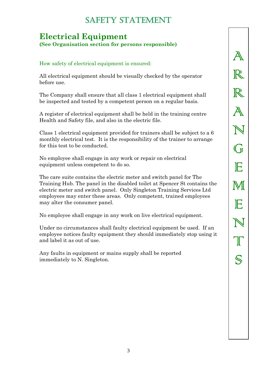### **Electrical Equipment (See Organisation section for persons responsible)**

#### How safety of electrical equipment is ensured:

All electrical equipment should be visually checked by the operator before use.

The Company shall ensure that all class 1 electrical equipment shall be inspected and tested by a competent person on a regular basis.

A register of electrical equipment shall be held in the training centre Health and Safety file, and also in the electric file.

Class 1 electrical equipment provided for trainers shall be subject to a 6 monthly electrical test. It is the responsibility of the trainer to arrange for this test to be conducted.

No employee shall engage in any work or repair on electrical equipment unless competent to do so.

The care suite contains the electric meter and switch panel for The Training Hub. The panel in the disabled toilet at Spencer St contains the electric meter and switch panel. Only Singleton Training Services Ltd employees may enter these areas. Only competent, trained employees may alter the consumer panel.

No employee shall engage in any work on live electrical equipment.

Under no circumstances shall faulty electrical equipment be used. If an employee notices faulty equipment they should immediately stop using it and label it as out of use.

Any faults in equipment or mains supply shall be reported immediately to N. Singleton.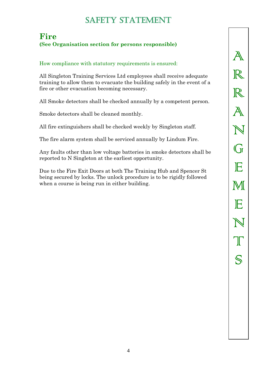### **Fire (See Organisation section for persons responsible)**

#### How compliance with statutory requirements is ensured:

All Singleton Training Services Ltd employees shall receive adequate training to allow them to evacuate the building safely in the event of a fire or other evacuation becoming necessary.

All Smoke detectors shall be checked annually by a competent person.

Smoke detectors shall be cleaned monthly.

All fire extinguishers shall be checked weekly by Singleton staff.

The fire alarm system shall be serviced annually by Lindum Fire.

Any faults other than low voltage batteries in smoke detectors shall be reported to N Singleton at the earliest opportunity.

Due to the Fire Exit Doors at both The Training Hub and Spencer St being secured by locks. The unlock procedure is to be rigidly followed when a course is being run in either building.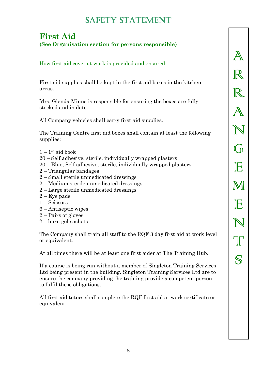### **First Aid (See Organisation section for persons responsible)**

How first aid cover at work is provided and ensured:

First aid supplies shall be kept in the first aid boxes in the kitchen areas.

Mrs. Glenda Minns is responsible for ensuring the boxes are fully stocked and in date.

All Company vehicles shall carry first aid supplies.

The Training Centre first aid boxes shall contain at least the following supplies:

- $1 1$ <sup>st</sup> aid book
- 20 Self adhesive, sterile, individually wrapped plasters
- 20 Blue, Self adhesive, sterile, individually wrapped plasters
- 2 Triangular bandages
- 2 Small sterile unmedicated dressings
- 2 Medium sterile unmedicated dressings
- 2 Large sterile unmedicated dressings
- $2 Eye$  pads
- 1 Scissors
- 6 Antiseptic wipes
- 2 Pairs of gloves
- 2 burn gel sachets

The Company shall train all staff to the RQF 3 day first aid at work level or equivalent.

At all times there will be at least one first aider at The Training Hub.

If a course is being run without a member of Singleton Training Services Ltd being present in the building. Singleton Training Services Ltd are to ensure the company providing the training provide a competent person to fulfil these obligations.

All first aid tutors shall complete the RQF first aid at work certificate or equivalent.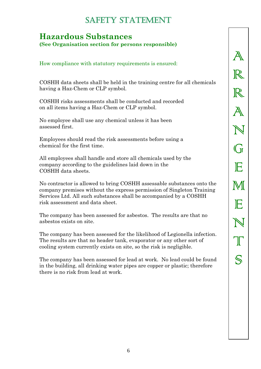# **Hazardous Substances**

**(See Organisation section for persons responsible)**

How compliance with statutory requirements is ensured:

COSHH data sheets shall be held in the training centre for all chemicals having a Haz-Chem or CLP symbol.

COSHH risks assessments shall be conducted and recorded on all items having a Haz-Chem or CLP symbol.

No employee shall use any chemical unless it has been assessed first.

Employees should read the risk assessments before using a chemical for the first time.

All employees shall handle and store all chemicals used by the company according to the guidelines laid down in the COSHH data sheets.

No contractor is allowed to bring COSHH assessable substances onto the company premises without the express permission of Singleton Training Services Ltd. All such substances shall be accompanied by a COSHH risk assessment and data sheet.

The company has been assessed for asbestos. The results are that no asbestos exists on site.

The company has been assessed for the likelihood of Legionella infection. The results are that no header tank, evaporator or any other sort of cooling system currently exists on site, so the risk is negligible.

The company has been assessed for lead at work. No lead could be found in the building, all drinking water pipes are copper or plastic; therefore there is no risk from lead at work.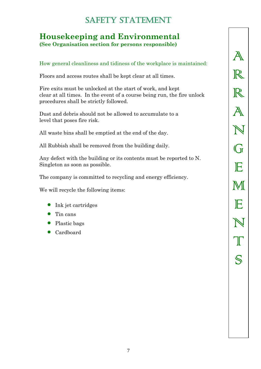### **Housekeeping and Environmental (See Organisation section for persons responsible)**

#### How general cleanliness and tidiness of the workplace is maintained:

Floors and access routes shall be kept clear at all times.

Fire exits must be unlocked at the start of work, and kept clear at all times. In the event of a course being run, the fire unlock procedures shall be strictly followed.

Dust and debris should not be allowed to accumulate to a level that poses fire risk.

All waste bins shall be emptied at the end of the day.

All Rubbish shall be removed from the building daily.

Any defect with the building or its contents must be reported to N. Singleton as soon as possible.

The company is committed to recycling and energy efficiency.

We will recycle the following items:

- Ink jet cartridges
- Tin cans
- Plastic bags
- Cardboard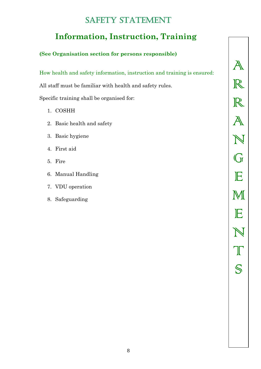# **Information, Instruction, Training**

### **(See Organisation section for persons responsible)**

How health and safety information, instruction and training is ensured:

All staff must be familiar with health and safety rules.

Specific training shall be organised for:

- 1. COSHH
- 2. Basic health and safety
- 3. Basic hygiene
- 4. First aid
- 5. Fire
- 6. Manual Handling
- 7. VDU operation
- 8. Safeguarding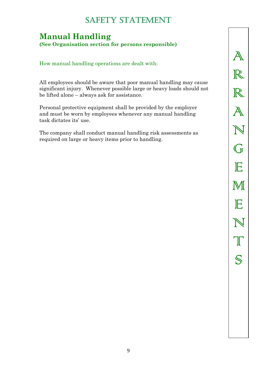# **Manual Handling**

**(See Organisation section for persons responsible)**

How manual handling operations are dealt with:

All employees should be aware that poor manual handling may cause significant injury. Whenever possible large or heavy loads should not be lifted alone – always ask for assistance.

Personal protective equipment shall be provided by the employer and must be worn by employees whenever any manual handling task dictates its' use.

The company shall conduct manual handling risk assessments as required on large or heavy items prior to handling.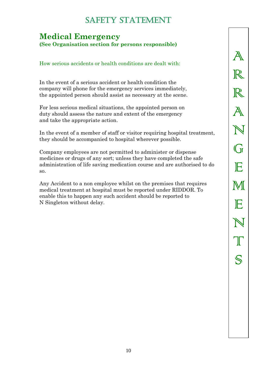### **Medical Emergency (See Organisation section for persons responsible)**

#### How serious accidents or health conditions are dealt with:

In the event of a serious accident or health condition the company will phone for the emergency services immediately, the appointed person should assist as necessary at the scene.

For less serious medical situations, the appointed person on duty should assess the nature and extent of the emergency and take the appropriate action.

In the event of a member of staff or visitor requiring hospital treatment, they should be accompanied to hospital wherever possible.

Company employees are not permitted to administer or dispense medicines or drugs of any sort; unless they have completed the safe administration of life saving medication course and are authorised to do so.

Any Accident to a non employee whilst on the premises that requires medical treatment at hospital must be reported under RIDDOR. To enable this to happen any such accident should be reported to N Singleton without delay.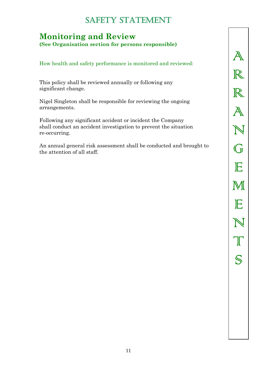# **Monitoring and Review**

**(See Organisation section for persons responsible)**

How health and safety performance is monitored and reviewed:

This policy shall be reviewed annually or following any significant change.

Nigel Singleton shall be responsible for reviewing the ongoing arrangements.

Following any significant accident or incident the Company shall conduct an accident investigation to prevent the situation re-occurring.

An annual general risk assessment shall be conducted and brought to the attention of all staff.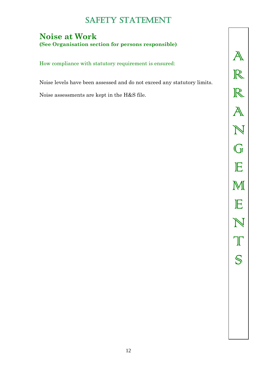### **Noise at Work (See Organisation section for persons responsible)**

How compliance with statutory requirement is ensured:

Noise levels have been assessed and do not exceed any statutory limits.

Noise assessments are kept in the H&S file.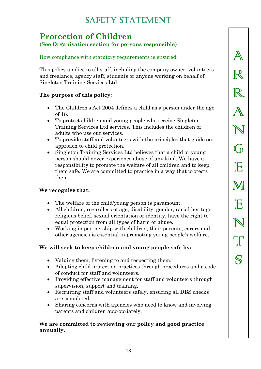### **Protection of Children (See Organisation section for persons responsible)**

# How compliance with statutory requirements is ensured:

This policy applies to all staff, including the company owner, volunteers and freelance, agency staff, students or anyone working on behalf of Singleton Training Services Ltd.

#### **The purpose of this policy:**

- The Children's Act 2004 defines a child as a person under the age of 18.
- To protect children and young people who receive Singleton Training Services Ltd services. This includes the children of adults who use our services.
- To provide staff and volunteers with the principles that guide our approach to child protection.
- Singleton Training Services Ltd believes that a child or young person should never experience abuse of any kind. We have a responsibility to promote the welfare of all children and to keep them safe. We are committed to practice in a way that protects them.

#### **We recognise that:**

- The welfare of the child/young person is paramount.
- All children, regardless of age, disability, gender, racial heritage, religious belief, sexual orientation or identity, have the right to equal protection from all types of harm or abuse.
- Working in partnership with children, their parents, carers and other agencies is essential in promoting young people's welfare.

#### **We will seek to keep children and young people safe by:**

- Valuing them, listening to and respecting them.
- Adopting child protection practices through procedures and a code of conduct for staff and volunteers.
- Providing effective management for staff and volunteers through supervision, support and training.
- Recruiting staff and volunteers safely, ensuring all DBS checks are completed.
- Sharing concerns with agencies who need to know and involving parents and children appropriately.

#### **We are committed to reviewing our policy and good practice annually.**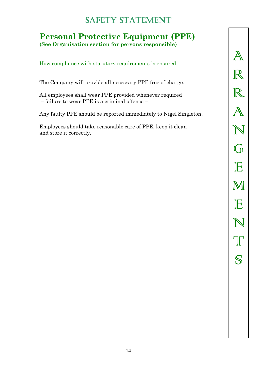### **Personal Protective Equipment (PPE) (See Organisation section for persons responsible)**

How compliance with statutory requirements is ensured:

The Company will provide all necessary PPE free of charge.

All employees shall wear PPE provided whenever required – failure to wear PPE is a criminal offence –

Any faulty PPE should be reported immediately to Nigel Singleton.

Employees should take reasonable care of PPE, keep it clean and store it correctly.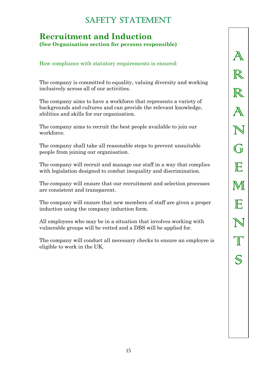### **Recruitment and Induction (See Organisation section for persons responsible)**

How compliance with statutory requirements is ensured:

The company is committed to equality, valuing diversity and working inclusively across all of our activities.

The company aims to have a workforce that represents a variety of backgrounds and cultures and can provide the relevant knowledge, abilities and skills for our organisation.

The company aims to recruit the best people available to join our workforce.

The company shall take all reasonable steps to prevent unsuitable people from joining our organisation.

The company will recruit and manage our staff in a way that complies with legislation designed to combat inequality and discrimination.

The company will ensure that our recruitment and selection processes are consistent and transparent.

The company will ensure that new members of staff are given a proper induction using the company induction form.

All employees who may be in a situation that involves working with vulnerable groups will be vetted and a DBS will be applied for.

The company will conduct all necessary checks to ensure an employee is eligible to work in the UK.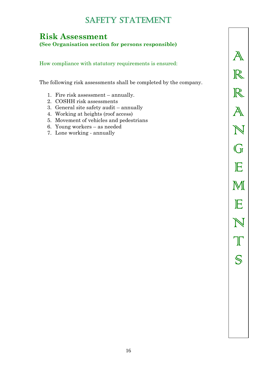### **Risk Assessment**

**(See Organisation section for persons responsible)**

How compliance with statutory requirements is ensured:

The following risk assessments shall be completed by the company.

- 1. Fire risk assessment annually.
- 2. COSHH risk assessments
- 3. General site safety audit annually
- 4. Working at heights (roof access)
- 5. Movement of vehicles and pedestrians
- 6. Young workers as needed
- 7. Lone working annually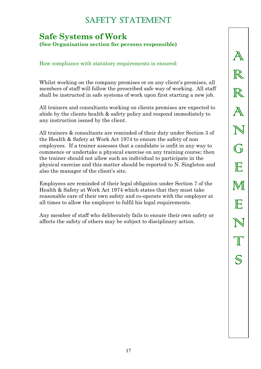### **Safe Systems of Work (See Organisation section for persons responsible)**

How compliance with statutory requirements is ensured:

Whilst working on the company premises or on any client's premises, all members of staff will follow the prescribed safe way of working. All staff shall be instructed in safe systems of work upon first starting a new job.

All trainers and consultants working on clients premises are expected to abide by the clients health & safety policy and respond immediately to any instruction issued by the client.

All trainers & consultants are reminded of their duty under Section 3 of the Health & Safety at Work Act 1974 to ensure the safety of non employees. If a trainer assesses that a candidate is unfit in any way to commence or undertake a physical exercise on any training course; then the trainer should not allow such an individual to participate in the physical exercise and this matter should be reported to N. Singleton and also the manager of the client's site.

Employees are reminded of their legal obligation under Section 7 of the Health & Safety at Work Act 1974 which states that they must take reasonable care of their own safety and co-operate with the employer at all times to allow the employer to fulfil his legal requirements.

Any member of staff who deliberately fails to ensure their own safety or affects the safety of others may be subject to disciplinary action.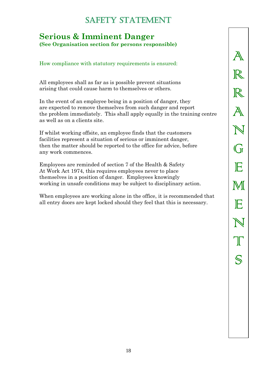### **Serious & Imminent Danger (See Organisation section for persons responsible)**

#### How compliance with statutory requirements is ensured:

All employees shall as far as is possible prevent situations arising that could cause harm to themselves or others.

In the event of an employee being in a position of danger, they are expected to remove themselves from such danger and report the problem immediately. This shall apply equally in the training centre as well as on a clients site.

If whilst working offsite, an employee finds that the customers facilities represent a situation of serious or imminent danger, then the matter should be reported to the office for advice, before any work commences.

Employees are reminded of section 7 of the Health & Safety At Work Act 1974, this requires employees never to place themselves in a position of danger. Employees knowingly working in unsafe conditions may be subject to disciplinary action.

When employees are working alone in the office, it is recommended that all entry doors are kept locked should they feel that this is necessary.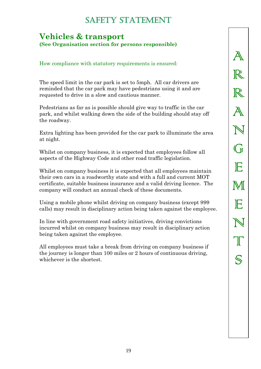### **Vehicles & transport (See Organisation section for persons responsible)**

How compliance with statutory requirements is ensured:

The speed limit in the car park is set to 5mph. All car drivers are reminded that the car park may have pedestrians using it and are requested to drive in a slow and cautious manner.

Pedestrians as far as is possible should give way to traffic in the car park, and whilst walking down the side of the building should stay off the roadway.

Extra lighting has been provided for the car park to illuminate the area at night.

Whilst on company business, it is expected that employees follow all aspects of the Highway Code and other road traffic legislation.

Whilst on company business it is expected that all employees maintain their own cars in a roadworthy state and with a full and current MOT certificate, suitable business insurance and a valid driving licence. The company will conduct an annual check of these documents.

Using a mobile phone whilst driving on company business (except 999 calls) may result in disciplinary action being taken against the employee.

In line with government road safety initiatives, driving convictions incurred whilst on company business may result in disciplinary action being taken against the employee.

All employees must take a break from driving on company business if the journey is longer than 100 miles or 2 hours of continuous driving, whichever is the shortest.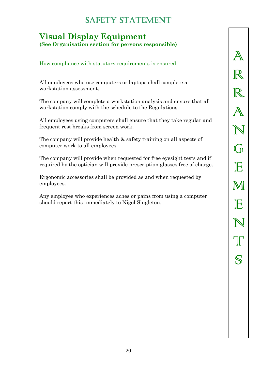### **Visual Display Equipment (See Organisation section for persons responsible)**

How compliance with statutory requirements is ensured:

All employees who use computers or laptops shall complete a workstation assessment.

The company will complete a workstation analysis and ensure that all workstation comply with the schedule to the Regulations.

All employees using computers shall ensure that they take regular and frequent rest breaks from screen work.

The company will provide health & safety training on all aspects of computer work to all employees.

The company will provide when requested for free eyesight tests and if required by the optician will provide prescription glasses free of charge.

Ergonomic accessories shall be provided as and when requested by employees.

Any employee who experiences aches or pains from using a computer should report this immediately to Nigel Singleton.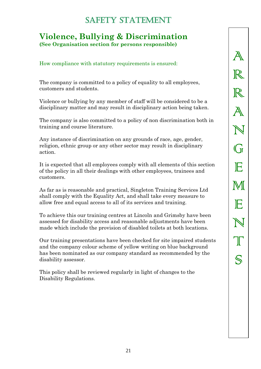### **Violence, Bullying & Discrimination (See Organisation section for persons responsible)**

How compliance with statutory requirements is ensured:

The company is committed to a policy of equality to all employees, customers and students.

Violence or bullying by any member of staff will be considered to be a disciplinary matter and may result in disciplinary action being taken.

The company is also committed to a policy of non discrimination both in training and course literature.

Any instance of discrimination on any grounds of race, age, gender, religion, ethnic group or any other sector may result in disciplinary action.

It is expected that all employees comply with all elements of this section of the policy in all their dealings with other employees, trainees and customers.

As far as is reasonable and practical, Singleton Training Services Ltd shall comply with the Equality Act, and shall take every measure to allow free and equal access to all of its services and training.

To achieve this our training centres at Lincoln and Grimsby have been assessed for disability access and reasonable adjustments have been made which include the provision of disabled toilets at both locations.

Our training presentations have been checked for site impaired students and the company colour scheme of yellow writing on blue background has been nominated as our company standard as recommended by the disability assessor.

This policy shall be reviewed regularly in light of changes to the Disability Regulations.